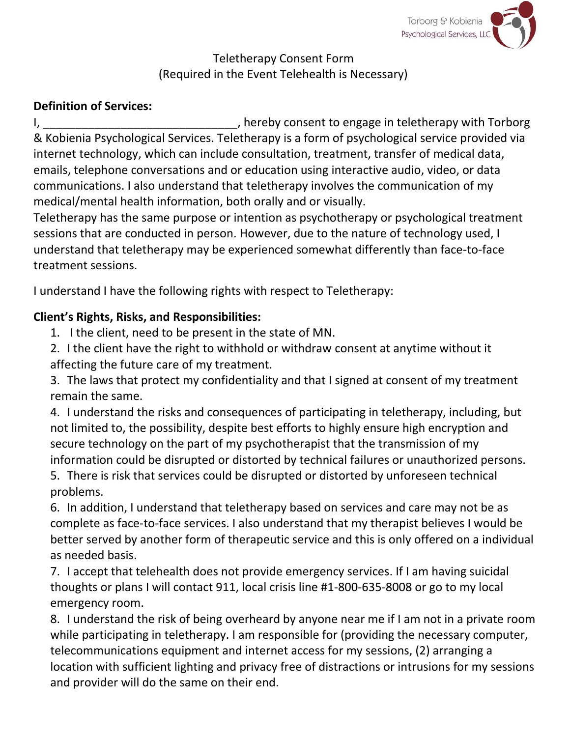

Teletherapy Consent Form (Required in the Event Telehealth is Necessary)

## **Definition of Services:**

I, thereby consent to engage in teletherapy with Torborg in telection of the state of the consent to engage in teletherapy with Torborg & Kobienia Psychological Services. Teletherapy is a form of psychological service provided via internet technology, which can include consultation, treatment, transfer of medical data, emails, telephone conversations and or education using interactive audio, video, or data communications. I also understand that teletherapy involves the communication of my medical/mental health information, both orally and or visually.

Teletherapy has the same purpose or intention as psychotherapy or psychological treatment sessions that are conducted in person. However, due to the nature of technology used, I understand that teletherapy may be experienced somewhat differently than face-to-face treatment sessions.

I understand I have the following rights with respect to Teletherapy:

## **Client's Rights, Risks, and Responsibilities:**

- 1. I the client, need to be present in the state of MN.
- 2. I the client have the right to withhold or withdraw consent at anytime without it affecting the future care of my treatment.

3. The laws that protect my confidentiality and that I signed at consent of my treatment remain the same.

4. I understand the risks and consequences of participating in teletherapy, including, but not limited to, the possibility, despite best efforts to highly ensure high encryption and secure technology on the part of my psychotherapist that the transmission of my information could be disrupted or distorted by technical failures or unauthorized persons.

5. There is risk that services could be disrupted or distorted by unforeseen technical problems.

6. In addition, I understand that teletherapy based on services and care may not be as complete as face-to-face services. I also understand that my therapist believes I would be better served by another form of therapeutic service and this is only offered on a individual as needed basis.

7. I accept that telehealth does not provide emergency services. If I am having suicidal thoughts or plans I will contact 911, local crisis line #1-800-635-8008 or go to my local emergency room.

8. I understand the risk of being overheard by anyone near me if I am not in a private room while participating in teletherapy. I am responsible for (providing the necessary computer, telecommunications equipment and internet access for my sessions, (2) arranging a location with sufficient lighting and privacy free of distractions or intrusions for my sessions and provider will do the same on their end.